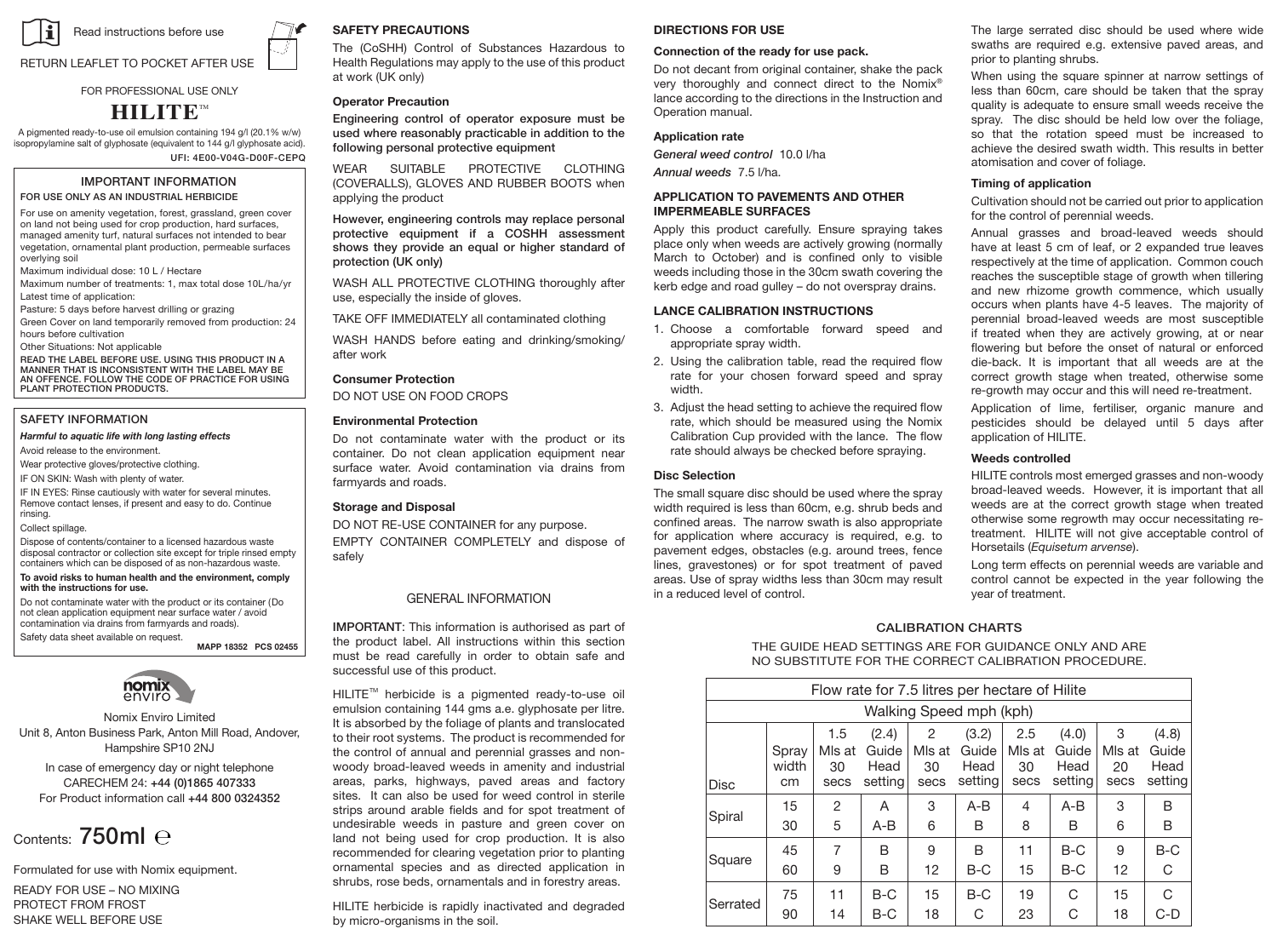

### RETURN LEAFLET TO POCKET AFTER USE

FOR PROFESSIONAL USE ONLY

# **HILITE**<sup>®</sup>

A pigmented ready-to-use oil emulsion containing 194 g/l (20.1% w/w) A pigmented ready-to-use oil emulsion containing 194 g/l (20.1% w/w)<br>isopropylamine salt of glyphosate (equivalent to 144 g/l glyphosate acid). UFI: 4E00-V04G-D00F-CEPQ

AFTER USE

# IMPORTANT INFORMATION

FOR USE ONLY AS AN INDUSTRIAL HERBICIDE **POR USE ONLY A** 

For use on amenity vegetation, forest, grassland, green cover For use on amenity vegetation, forest, grassiand, green covidmanaged amenity turf, natural surfaces not intended to bear vegetation, ornamental plant production, permeable surfaces she overlying soil

Maximum individual dose: 10 L / Hectare

Maximum number of treatments: 1, max total dose 10L/ha/yr Latest time of application:

Pasture: 5 days before harvest drilling or grazing Pasture: 5 days before harvest drilling or grazing<br>Green Cover on land temporarily removed from production: 24 **Press** hours before cultivation Green Cover

Other Situations: Not applicable nours before cu

READ THE LABEL BEFORE USE. USING THIS PRODUCT IN A MANNER THAT IS INCONSISTENT WITH THE LABEL MAY BE  $\sim$ AN OFFENCE. FOLLOW THE CODE OF PRACTICE FOR USING PLANT PROTECTION PRODUCTS.

### SAFETY INFORMATION

## Harmful to aquatic life with long lasting effects
<sub>Don po</sub>

Avoid release to the environment.

Wear protective gloves/protective clothing.

IF ON SKIN: Wash with plenty of water. bining.<br>\*\*\*

IF IN EYES: Rinse cautiously with water for several minutes. Remove contact lenses, if present and easy to do. Continue rinsing. nd easy to do. Continue **Storage and Disposal** 

Collect spillage.

Dispose of contents/container in accordance with regulations on hazardous waste or

**Dispose of contents/container to a licensed hazardous waste** disposal contractor or collection site except for triple rinsed empty disposal contractor or collection site except for triple rinsed empty<br>containers which can be disposed of as non-hazardous waste.

### To avoid risks to human health and the environment, comply **article of the United Protect**<br>with the instructions for use. **with the instructions for use.**

Do not contaminate water with the product or its container (Do not container with the product or its container<br>and clean opplication our imment population with the product of container and the product of the product of con I Do not contaminate water with the product or its container is<br>In the clean application equipment near surface water / avoid contamination via drains from farmyards and roads).

> Safety data sheet available on request. iwit.<br>MAPP 18352 PCS 02455



Nomix Enviro Limited Unit 8, Anton Business Park, Anton Mill Road, Andover, Hampshire SP10 2NJ

In case of emergency day or night telephone CARECHEM 24: +44 (0)1865 407333 For Product information call +44 800 0324352

# Contents: 750ml

Formulated for use with Nomix equipment.

READY FOR USE – NO MIXING PROTECT FROM FROST SHAKE WELL BEFORE USE

### **SAFETY PRECAUTIONS**

The (CoSHH) Control of Substances Hazardous to Health Regulations may apply to the use of this product at work (UK only)

## **Operator Precaution**

Engineering control of operator exposure must be used where reasonably practicable in addition to the following personal protective equipment use with Nomix

WEAR SUITABLE PROTECTIVE CLOTHING (COVERALLS), GLOVES AND RUBBER BOOTS when applying the product CLOTHING

However, engineering controls may replace personal READY FOR USE – NO MIXING • PROTECT FROM FROST • SHAKE WELL BEFORE USE protective equipment if a COSHH assessment shows they provide an equal or higher standard of protection (UK only)

lectare Metalose 10L/ha/yr WASH ALL PROTECTIVE CLOTHING thoroughly after Ke use, especially the inside of gloves.

TAKE OFF IMMEDIATELY all contaminated clothing

WASH HANDS before eating and drinking/smoking/<br>exposure must be used where where reasonably after work after work

## **Consumer Protection**

USE OF PRACTICE FOR USING<br>DO NOT USE ON FOOD CROPS However, engineering controls may replace personal protective

### **Environmental Protection**

Do not contaminate water with the product or its container. Do not clean application equipment near extins surface water. Avoid contamination via drains from farmyards and roads.

DO NOT RE-USE CONTAINER for any purpose. EMPTY CONTAINER COMPLETELY and dispose of safely

### GENERAL INFORMATION

If surface water? avoid<br>ards and roads). **IMPORTANT:** This information is authorised as part of the product label. All instructions within this section must be read carefully in order to obtain safe and successful use of this product. DO NOT RE-USE CONTAINER for any purpose.

HILITE herbicide is rapidly inactivated and degraded by micro-organisms in the soil.

### **DIRECTIONS FOR USE**

### **Connection of the ready for use pack.**

Do not decant from original container, shake the pack very thoroughly and connect direct to the Nomix® lance according to the directions in the Instruction and Operation manual.

## **Application rate**

*General weed control* 10.0 l/ha

*Annual weeds* 7.5 l/ha.

## **APPLICATION TO PAVEMENTS AND OTHER IMPERMEABLE SURFACES**

im Entimentable contracted<br>Apply this product carefully. Ensure spraying takes place only when weeds are actively growing (normally March to October) and is confined only to visible weeds including those in the 30cm swath covering the we as measing alsee in the econnection of the ready for the ready for the ready state.

### **LANCE CALIBRATION INSTRUCTIONS**

- 1. Choose a comfortable forward speed and appropriate spray width.
- 2. Using the calibration table, read the required flow rate for your chosen forward speed and spray correct growth stage when it is a control of the interval weeds 7.5 lines. width.
- 3. Adjust the head setting to achieve the required flow Application of lime, fertiliser, organic rate, which should be measured using the Nomix rate, which should be measured using the Nomix pesticides should be delayed until 5<br>Calibration Cup provided with the lance. The flow application of HILITE. ballocation oup provided with the lance. The now application of film to the continuation of the continuation of the continuation of the continuation of the continuation on the confinent only to occur and is confined on the be a substitute the 30cm set of the 30cm swater weeds controlled

### **Disc Selection** and road gulley – do not overspray drains. The contract of the contract of the contract of the contract of the contract of the contract of the contract of the contract of the contract of the contract of the contract of the

The small square disc should be used where the spray width required is less than 60cm, e.g. shrub beds and confined areas. The narrow swath is also appropriate otherwise some regrowth may occur for application where accuracy is required, e.g. to treatment. HILITE will not give ac pavement edges, obstacles (e.g. around trees, fence Horsetails (Equisetum arvense). lines, gravestones) or for spot treatment of paved lines, gravestones) or tor spot treatment or paved<br>areas. Use of spray widths less than 30cm may result areas. Ose or spray wronts less than soon may result and control cannot be expected in the year i<br>in a reduced level of control. The requirement of treatment.

The large serrated disc should be used where wide swaths are required e.g. extensive paved areas, and prior to planting shrubs.

on rate **cover on land not being used in a land not be increased to** so that the rotation speed must be increased to veed control 10.0 l/ha achieve the desired swath width. This results in better species and as directed application in shrubs, rose beds, ornamentals and cover of foliage.<br>Reds, 7.5 l/ha. When using the square spinner at narrow settings of less than 60cm, care should be taken that the spray quality is adequate to ensure small weeds receive the spray. The disc should be held low over the foliage,

### **Timing of application**

HILITE HAVE MENTS AND UTHER Cultivation should not be carried out prior to application  $\epsilon$ for the control of perennial weeds.

occurs when plants have 4-5 leaves. The majority of ALIBRATION INSTRUCTIONS perennial broad-leaved weeds are most susceptible Annual grasses and broad-leaved weeds should have at least 5 cm of leaf, or 2 expanded true leaves respectively at the time of application. Common couch reaches the susceptible stage of growth when tillering and new rhizome growth commence, which usually if treated when they are actively growing, at or near flowering but before the onset of natural or enforced die-back. It is important that all weeds are at the correct growth stage when treated, otherwise some re-growth may occur and this will need re-treatment.

> Application of lime, fertiliser, organic manure and pesticides should be delayed until 5 days after application of HILITE.

HILITE controls most emerged grasses and non-woody broad-leaved weeds. However, it is important that all weeds are at the correct growth stage when treated otherwise some regrowth may occur necessitating retreatment. HILITE will not give acceptable control of Horsetails (*Equisetum arvense*).

be measured using the Northern Cup provided with the Northern Cup provided with the lance. Long term effects on perennial weeds are variable and control cannot be expected in the year following the year of treatment.

# **CALIBRATION CHARTS**

THE GUIDE HEAD SETTINGS ARE FOR GUIDANCE ONLY AND ARE THE GUIDE HEAD SETTINGS ARE FOR GUIDANCE ONLY AND ARE NO SUBSTITUTE FOR THE CORRECT CALIBRATION PROCEDURE. NO SUBSTITUTE FOR THE CORRECT CALIBRATION PROCEDURE.

|                                                                                | HILITE™ herbicide is a pigmented ready-to-use oil                                                                                                                                                                                                                                                                                            | Flow rate for 7.5 litres per hectare of Hilite<br>Walking Speed mph (kph) |                      |                             |                                      |                           |                                     |                             |                                     |                           |                                   |
|--------------------------------------------------------------------------------|----------------------------------------------------------------------------------------------------------------------------------------------------------------------------------------------------------------------------------------------------------------------------------------------------------------------------------------------|---------------------------------------------------------------------------|----------------------|-----------------------------|--------------------------------------|---------------------------|-------------------------------------|-----------------------------|-------------------------------------|---------------------------|-----------------------------------|
| Limited                                                                        | emulsion containing 144 gms a.e. glyphosate per litre.<br>It is absorbed by the foliage of plants and translocated<br>to their root systems. The product is recommended for<br>the control of annual and perennial grasses and non-<br>woody broad-leaved weeds in amenity and industrial<br>areas, parks, highways, paved areas and factory |                                                                           |                      |                             |                                      |                           |                                     |                             |                                     |                           |                                   |
| Inton Mill Road, Andover,<br>210 2NJ<br>y or night telephone<br>(0)1865 407333 |                                                                                                                                                                                                                                                                                                                                              | <b>Disc</b>                                                               | Spray<br>width<br>cm | 1.5<br>Mls at<br>30<br>secs | (2.4)<br>Guide  <br>Head<br>settinal | 2<br>Mls at<br>30<br>secs | (3.2)<br>Guide I<br>Head<br>settina | 2.5<br>Mls at<br>30<br>secs | (4.0)<br>Guide  <br>Head<br>settina | 3<br>Mls at<br>20<br>secs | (4.8)<br>Guide<br>Head<br>settina |
| all +44 800 0324352                                                            | sites. It can also be used for weed control in sterile<br>strips around arable fields and for spot treatment of<br>undesirable weeds in pasture and green cover on                                                                                                                                                                           | Spiral                                                                    | 15<br>30             | $\mathfrak{p}$<br>5         | A<br>$A-B$                           | 3<br>6                    | $A-B$<br>B                          | 4<br>8                      | $A-B$<br>B                          | 3<br>6                    | B<br>B                            |
| equipment.                                                                     | land not being used for crop production. It is also<br>recommended for clearing vegetation prior to planting<br>ornamental species and as directed application in<br>shrubs, rose beds, ornamentals and in forestry areas.                                                                                                                   | Square                                                                    | 45<br>60             | 9                           | B<br>B                               | 9<br>12                   | B<br>$B-C$                          | 11<br>15                    | $B-C$<br>$B-C$                      | 9<br>12                   | $B-C$<br>C                        |
|                                                                                | HILITE herbicide is rapidly inactivated and degraded<br>by micro-organisms in the soil.                                                                                                                                                                                                                                                      | Serrated                                                                  | 75<br>90             | 11<br>14                    | $B-C$<br>$B-C$                       | 15<br>18                  | B-C<br>C                            | 19<br>23                    | C<br>C                              | 15<br>18                  | C.<br>$C-D$                       |